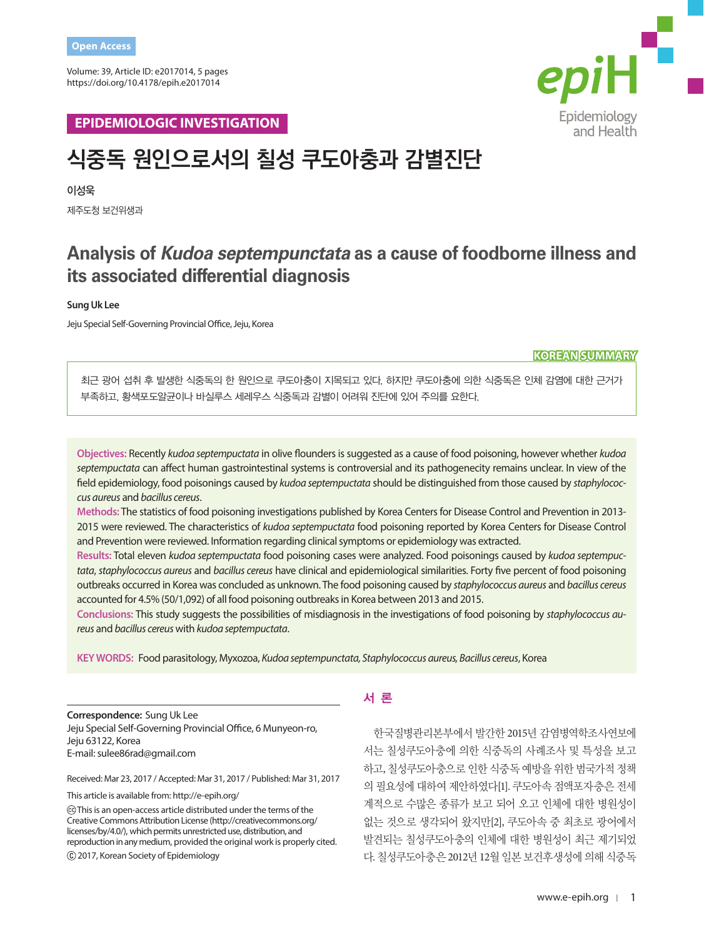Volume: 39, Article ID: e2017014, 5 pages https://doi.org/10.4178/epih.e2017014



# **EPIDEMIOLOGIC INVESTIGATION**

# **식중독 원인으로서의 칠성 쿠도아충과 감별진단**

이성욱 제주도청 보건위생과

# **Analysis of** *Kudoa septempunctata* **as a cause of foodborne illness and its associated differential diagnosis**

#### **Sung Uk Lee**

Jeju Special Self-Governing Provincial Office, Jeju, Korea

#### **KOREAN SUMMARY**

최근 광어 섭취 후 발생한 식중독의 한 원인으로 쿠도아충이 지목되고 있다. 하지만 쿠도아충에 의한 식중독은 인체 감염에 대한 근거가 부족하고, 황색포도알균이나 바실루스 세레우스 식중독과 감별이 어려워 진단에 있어 주의를 요한다.

**Objectives:** Recently *kudoa septempuctata* in olive flounders is suggested as a cause of food poisoning, however whether *kudoa septempuctata* can affect human gastrointestinal systems is controversial and its pathogenecity remains unclear. In view of the field epidemiology, food poisonings caused by *kudoa septempuctata* should be distinguished from those caused by *staphylococcus aureus* and *bacillus cereus*.

**Methods:** The statistics of food poisoning investigations published by Korea Centers for Disease Control and Prevention in 2013- 2015 were reviewed. The characteristics of *kudoa septempuctata* food poisoning reported by Korea Centers for Disease Control and Prevention were reviewed. Information regarding clinical symptoms or epidemiology was extracted.

**Results:** Total eleven *kudoa septempuctata* food poisoning cases were analyzed. Food poisonings caused by *kudoa septempuctata*, *staphylococcus aureus* and *bacillus cereus* have clinical and epidemiological similarities. Forty five percent of food poisoning outbreaks occurred in Korea was concluded as unknown. The food poisoning caused by *staphylococcus aureus* and *bacillus cereus* accounted for 4.5% (50/1,092) of all food poisoning outbreaks in Korea between 2013 and 2015.

**Conclusions:** This study suggests the possibilities of misdiagnosis in the investigations of food poisoning by *staphylococcus aureus* and *bacillus cereus* with *kudoa septempuctata*.

**KEY WORDS:** Food parasitology, Myxozoa, *Kudoa septempunctata, Staphylococcus aureus, Bacillus cereus*, Korea

**Correspondence:** Sung Uk Lee Jeju Special Self-Governing Provincial Office, 6 Munyeon-ro, Jeju 63122, Korea E-mail: sulee86rad@gmail.com

Received: Mar 23, 2017 / Accepted: Mar 31, 2017 / Published: Mar 31, 2017

This article is available from: http://e-epih.org/

 This is an open-access article distributed under the terms of the Creative Commons Attribution License (http://creativecommons.org/ licenses/by/4.0/), which permits unrestricted use, distribution, and reproduction in any medium, provided the original work is properly cited.

2017, Korean Society of Epidemiology

### 서 론

한국질병관리본부에서 발간한 2015년 감염병역학조사연보에 서는 칠성쿠도아충에 의한 식중독의 사례조사 및 특성을 보고 하고, 칠성쿠도아충으로 인한 식중독 예방을 위한 범국가적 정책 의 필요성에 대하여 제안하였다[1]. 쿠도아속 점액포자충은 전세 계적으로 수많은 종류가 보고 되어 오고 인체에 대한 병원성이 없는 것으로 생각되어 왔지만[2], 쿠도아속 중 최초로 광어에서 발견되는 칠성쿠도아충의 인체에 대한 병원성이 최근 제기되었 다. 칠성쿠도아충은 2012년 12월 일본 보건후생성에 의해 식중독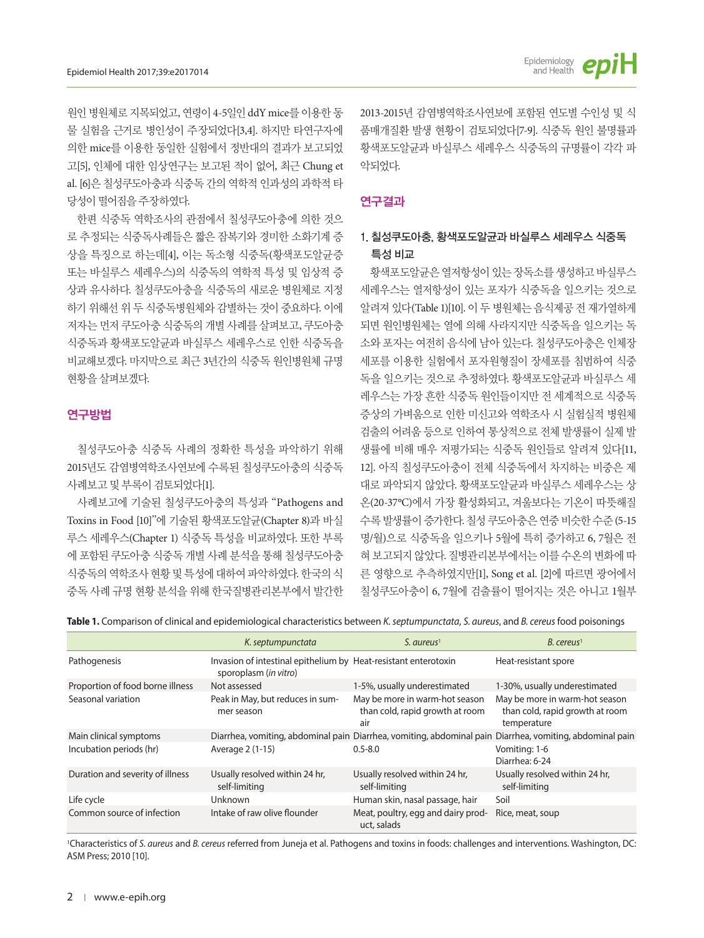원인 병원체로 지목되었고, 연령이 4-5일인 ddY mice를 이용한 동 물 실험을 근거로 병인성이 주장되었다[3,4]. 하지만 타연구자에 의한 mice를 이용한 동일한 실험에서 정반대의 결과가 보고되었 고[5], 인체에 대한 임상연구는 보고된 적이 없어, 최근 Chung et al. [6]은 칠성쿠도아충과 식중독 간의 역학적 인과성의 과학적 타 당성이떨어짐을주장하였다.

한편 식중독 역학조사의 관점에서 칠성쿠도아충에 의한 것으 로 추정되는 식중독사례들은 짧은 잠복기와 경미한 소화기계 증 상을 특징으로 하는데[4], 이는 독소형 식중독(황색포도알균증 또는 바실루스 세레우스)의 식중독의 역학적 특성 및 임상적 증 상과 유사하다. 칠성쿠도아충을 식중독의 새로운 병원체로 지정 하기 위해선 위 두 식중독병원체와 감별하는 것이 중요하다. 이에 저자는 먼저 쿠도아충 식중독의 개별 사례를 살펴보고, 쿠도아충 식중독과 황색포도알균과 바실루스 세레우스로 인한 식중독을 비교해보겠다. 마지막으로 최근 3년간의 식중독 원인병원체 규명 현황을살펴보겠다.

#### 연구방법

칠성쿠도아충 식중독 사례의 정확한 특성을 파악하기 위해 2015년도 감염병역학조사연보에 수록된 칠성쿠도아충의 식중독 사례보고및부록이검토되었다[1].

사례보고에 기술된 칠성쿠도아충의 특성과 "Pathogens and Toxins in Food [10]"에 기술된 황색포도알균(Chapter 8)과 바실 루스 세레우스(Chapter 1) 식중독 특성을 비교하였다. 또한 부록 에 포함된 쿠도아충 식중독 개별 사례 분석을 통해 칠성쿠도아충 식중독의역학조사현황및특성에대하여파악하였다. 한국의식 중독 사례 규명 현황 분석을 위해 한국질병관리본부에서 발간한 2013-2015년 감염병역학조사연보에 포함된 연도별 수인성 및 식 품매개질환 발생 현황이 검토되었다[7-9]. 식중독 원인 불명률과 황색포도알균과 바실루스 세레우스 식중독의 규명률이 각각 파 악되었다.

#### 연구결과

## 1. 칠성쿠도아충, 황색포도알균과 바실루스 세레우스 식중독 특성 비교

황색포도알균은 열저항성이 있는 장독소를 생성하고 바실루스 세레우스는 열저항성이 있는 포자가 식중독을 일으키는 것으로 알려져 있다(Table 1)[10]. 이 두 병원체는 음식제공 전 재가열하게 되면 원인병원체는 열에 의해 사라지지만 식중독을 일으키는 독 소와 포자는 여전히 음식에 남아 있는다. 칠성쿠도아충은 인체장 세포를 이용한 실험에서 포자원형질이 장세포를 침범하여 식중 독을 일으키는 것으로 추정하였다. 황색포도알균과 바실루스 세 레우스는 가장 흔한 식중독 원인들이지만 전 세계적으로 식중독 증상의 가벼움으로 인한 미신고와 역학조사 시 실험실적 병원체 검출의 어려움 등으로 인하여 통상적으로 전체 발생률이 실제 발 생률에 비해 매우 저평가되는 식중독 원인들로 알려져 있다[11, 12]. 아직 칠성쿠도아충이 전체 식중독에서 차지하는 비중은 제 대로 파악되지 않았다. 황색포도알균과 바실루스 세레우스는 상 온(20-37°C)에서 가장 활성화되고, 겨울보다는 기온이 따뜻해질 수록 발생률이 증가한다. 칠성 쿠도아충은 연중 비슷한 수준 (5-15 명/월)으로 식중독을 일으키나 5월에 특히 증가하고 6, 7월은 전 혀 보고되지 않았다. 질병관리본부에서는 이를 수온의 변화에 따 른 영향으로 추측하였지만[1], Song et al. [2]에 따르면 광어에서 칠성쿠도아충이 6, 7월에 검출률이 떨어지는 것은 아니고 1월부

|  | <b>Table 1.</b> Comparison of clinical and epidemiological characteristics between K. septumpunctata, S. aureus, and B. cereus food poisonings |  |  |  |  |  |  |
|--|------------------------------------------------------------------------------------------------------------------------------------------------|--|--|--|--|--|--|
|  |                                                                                                                                                |  |  |  |  |  |  |

|                                  | K. septumpunctata                                                                        | $S.$ aureus <sup>1</sup>                                                 | $B.$ cereus <sup>1</sup>                                                         |
|----------------------------------|------------------------------------------------------------------------------------------|--------------------------------------------------------------------------|----------------------------------------------------------------------------------|
| Pathogenesis                     | Invasion of intestinal epithelium by Heat-resistant enterotoxin<br>sporoplasm (in vitro) |                                                                          | Heat-resistant spore                                                             |
| Proportion of food borne illness | Not assessed                                                                             | 1-5%, usually underestimated                                             | 1-30%, usually underestimated                                                    |
| Seasonal variation               | Peak in May, but reduces in sum-<br>mer season                                           | May be more in warm-hot season<br>than cold, rapid growth at room<br>air | May be more in warm-hot season<br>than cold, rapid growth at room<br>temperature |
| Main clinical symptoms           |                                                                                          | Diarrhea, vomiting, abdominal pain Diarrhea, vomiting, abdominal pain    | Diarrhea, vomiting, abdominal pain                                               |
| Incubation periods (hr)          | Average 2 (1-15)                                                                         | $0.5 - 8.0$                                                              | Vomiting: 1-6<br>Diarrhea: 6-24                                                  |
| Duration and severity of illness | Usually resolved within 24 hr,<br>self-limiting                                          | Usually resolved within 24 hr,<br>self-limiting                          | Usually resolved within 24 hr,<br>self-limiting                                  |
| Life cycle                       | <b>Unknown</b>                                                                           | Human skin, nasal passage, hair                                          | Soil                                                                             |
| Common source of infection       | Intake of raw olive flounder                                                             | Meat, poultry, egg and dairy prod-<br>uct, salads                        | Rice, meat, soup                                                                 |

1Characteristics of *S. aureus* and *B. cereus* referred from Juneja et al. Pathogens and toxins in foods: challenges and interventions. Washington, DC: ASM Press; 2010 [10].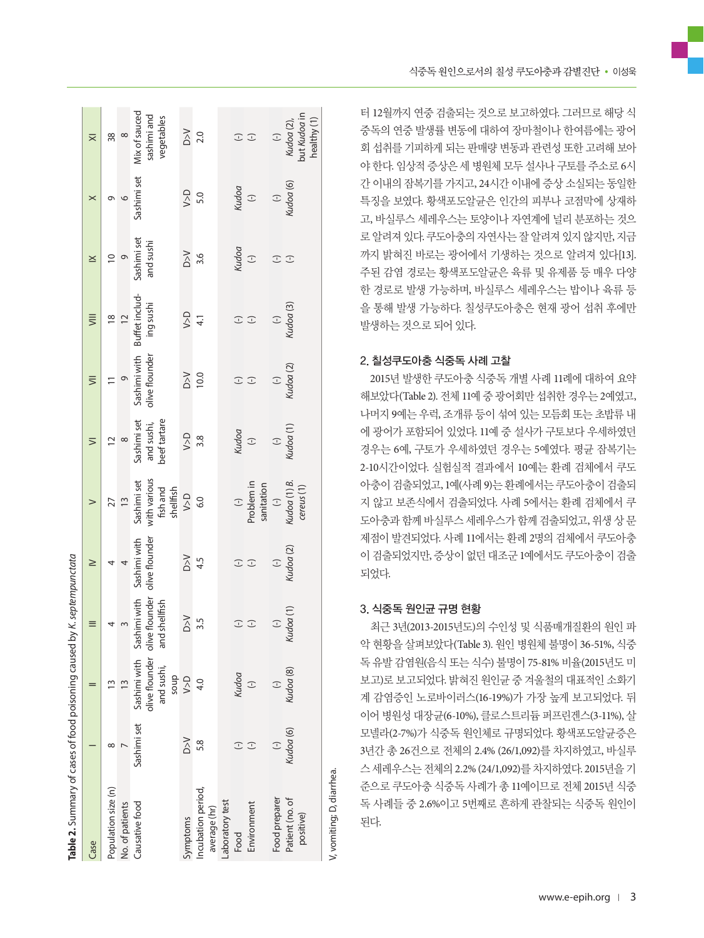| 식중독 원인으로서의 칠성 쿠도이충과 감별진단 • 이성욱 |  |
|--------------------------------|--|
|--------------------------------|--|

터 12월까지 연중 검출되는 것으로 보고하였다. 그러므로 해당 식 중독의 연중 발생률 변동에 대하여 장마철이나 한여름에는 광어 회 섭취를 기피하게 되는 판매량 변동과 관련성 또한 고려해 보아 야 한다. 임상적 증상은 세 병원체 모두 설사나 구토를 주소로 6시 간 이내의 잠복기를 가지고, 24시간 이내에 증상 소실되는 동일한 특징을 보였다. 황색포도알균은 인간의 피부나 코점막에 상재하 고, 바실루스 세레우스는 토양이나 자연계에 널리 분포하는 것으 로알려져있다. 쿠도아충의자연사는잘알려져있지않지만, 지금 까지 밝혀진 바로는 광어에서 기생하는 것으로 알려져 있다[13]. 주된 감염 경로는 황색포도알균은 육류 및 유제품 등 매우 다양 한 경로로 발생 가능하며, 바실루스 세레우스는 밥이나 육류 등 을 통해 발생 가능하다. 칠성쿠도아충은 현재 광어 섭취 후에만 발생하는것으로되어있다.

#### 2. 칠성쿠도아충 식중독 사례 고찰

2015 년 발생한 쿠도아충 식중독 개별 사례 11례에 대하여 요약 해보았다(Table 2). 전체 11 예 중 광어회만 섭취한 경우는 2예였고, 나머지 9예는 우럭, 조개류 등이 섞여 있는 모듬회 또는 초밥류 내 에 광어가 포함되어 있었다. 11 예 중 설사가 구토보다 우세하였던 경우는 6 예, 구토가 우세하였던 경우는 5예였다. 평균 잠복기는 2-10시간이었다. 실험실적 결과에서 10예는 환례 검체에서 쿠도 아충이 검출되었고, 1예(사례 9)는 환례에서는 쿠도아충이 검출되 지 않고 보존식에서 검출되었다. 사례 5에서는 환례 검체에서 쿠 도아충과 함께 바실루스 세레우스가 함께 검출되었고, 위생 상 문 제점이 발견되었다. 사례 11에서는 환례 2명의 검체에서 쿠도아충 이 검출되었지만, 증상이 없던 대조군 1예에서도 쿠도아충이 검출 되었다.

#### 3. 식중독 원인균 규명 현황

V, vomiting; D, diarrhea.

V, vomiting; D, diarrhea

최근 3 년(2013-2015년도) 의 수인성 및 식품매개질환의 원인 파 악 현황을 살펴보았다(Table 3). 원인 병원체 불명이 36-51%, 식중 독 유발 감염원(음식 또는 식수) 불명이 75-81% 비율(2015년도 미 보고) 로 보고되었다. 밝혀진 원인균 중 겨울철의 대표적인 소화기 계 감염증인 노로바이러스(16-19%)가 가장 높게 보고되었다. 뒤 이어 병원성 대장균(6-10%), 클로스트리듐 퍼프린겐스(3-11%), 살 모넬라(2-7%) 가 식중독 원인체로 규명되었다. 황색포도알균증은 3년간 총 26건으로 전체의 2.4% (26/1,092) 를 차지하였고, 바실루 스 세레우스는 전체의 2.2% (24/1,092) 를 차지하였다. 2015년을 기 준으로 쿠도아충 식중독 사례가 총 11예이므로 전체 2015 년 식중 독 사례들 중 2.6%이고 5번째로 흔하게 관찰되는 식중독 원인이 된다.

| ì                                      |
|----------------------------------------|
|                                        |
| I                                      |
|                                        |
|                                        |
|                                        |
|                                        |
|                                        |
|                                        |
|                                        |
|                                        |
|                                        |
| .<br>י<br>l                            |
|                                        |
|                                        |
|                                        |
|                                        |
|                                        |
|                                        |
|                                        |
|                                        |
|                                        |
|                                        |
|                                        |
|                                        |
|                                        |
| j                                      |
|                                        |
|                                        |
|                                        |
|                                        |
|                                        |
|                                        |
|                                        |
|                                        |
|                                        |
| え てうここり てろころうじころ てらうササウ しらしりり ナク ここりろえ |
|                                        |
|                                        |
|                                        |
|                                        |
| l                                      |
|                                        |
|                                        |
|                                        |
|                                        |
|                                        |

| Table 2. Summary of cases of food poisoning caused by |                   |                    |                                                                             | K. septempunctata              |                                                                                    |                                           |                                |                                                        |                                                                     |                                                                                                                                                       |                                                   |
|-------------------------------------------------------|-------------------|--------------------|-----------------------------------------------------------------------------|--------------------------------|------------------------------------------------------------------------------------|-------------------------------------------|--------------------------------|--------------------------------------------------------|---------------------------------------------------------------------|-------------------------------------------------------------------------------------------------------------------------------------------------------|---------------------------------------------------|
| Case                                                  |                   |                    | $\equiv$                                                                    | $\geq$                         | $\geq$                                                                             | $\leq$                                    | $\equiv$                       | $\equiv$                                               | $\leq$                                                              | $\times$                                                                                                                                              | $\overline{\times}$                               |
| Population size (n)                                   | $^{\circ}$        |                    | 4                                                                           | 4                              |                                                                                    |                                           | $\equiv$                       |                                                        |                                                                     |                                                                                                                                                       | $\frac{8}{5}$                                     |
| No. of patients                                       |                   |                    | $\tilde{z}$                                                                 | $\overline{a}$                 | 27<br>13                                                                           | $\frac{2}{3}$                             | $\circ$                        | $\frac{18}{12}$                                        | $\begin{array}{c}\n 10 \\ 9 \\ \hline\n \end{array}$<br>Sashimi set | $\circ$                                                                                                                                               | $\infty$                                          |
| Causative food                                        | Sashimi set       | and sushi,<br>soup | olive flounder olive flounder<br>Sashimi with Sashimi with<br>and shellfish | olive flounder<br>Sashimi with | with various<br>Sashimi set<br>fish and<br>shellfish                               | Sashimi set<br>beef tartare<br>and sushi, | Sashimi with<br>olive flounder | Buffet includ-<br>ing sushi                            | and sushi                                                           | Sashimi set                                                                                                                                           | <b>Mix of sauced</b><br>sashimi and<br>vegetables |
| Symptoms                                              | $\geqslant$       | $0<\infty$         | $\geq$                                                                      | $\geq$                         | V > D                                                                              | $\frac{2}{3}$                             | $\geq$                         | $\frac{1.5}{4.1}$                                      | $\frac{3.6}{}$                                                      |                                                                                                                                                       |                                                   |
| Incubation period,<br>average (hr)                    | 5.8               | 4.0                | 3.5                                                                         | 4.5                            | 6.0                                                                                |                                           | 10.0                           |                                                        |                                                                     | $\frac{50}{10}$                                                                                                                                       | $\frac{20}{20}$                                   |
| Laboratory test                                       |                   |                    |                                                                             |                                |                                                                                    |                                           |                                |                                                        |                                                                     |                                                                                                                                                       |                                                   |
| Food                                                  |                   | Kudoa              |                                                                             |                                |                                                                                    |                                           |                                |                                                        |                                                                     |                                                                                                                                                       |                                                   |
| Environment                                           | $\widehat{\cdot}$ | $\bigcirc$         | $\odot$                                                                     | $\overline{C}$                 | (-)<br>Problem in<br>sanitation<br>sanitation<br>(-)<br>Kudoa (1) B.<br>cereus (1) | Kudoa<br>(-)                              | $\widehat{\cdot}$              | $\overline{C}$                                         | Kudoa<br>(-)                                                        | Kudoa<br>(-)                                                                                                                                          | $\overline{C}$                                    |
| Food preparer                                         |                   | $\bigcirc$         | $\overline{C}$                                                              | $\overline{C}$                 |                                                                                    | $\overline{C}$                            |                                |                                                        | $\widehat{\cdot}$                                                   |                                                                                                                                                       |                                                   |
| Patient (no. of<br>positive)                          | Kudoa (6)         | Kudoa (8)          | Kudoa (1)                                                                   | Kudoa (2)                      |                                                                                    | Kudoa (1)                                 | $rac{(-)}{2}$                  | $\begin{array}{c} (-) \\ \hline \end{array}$ Kudoa (3) | $\bigcirc$                                                          | $\begin{array}{c}\n \left(\cdot\right) \\ \left(\cdot\right) \\ \left(\text{d} \text{d} \text{d} \text{d} \left(\text{6}\right)\right)\n \end{array}$ | (-)<br>Kudoa (2),<br>but Kudoa in<br>healthy (1)  |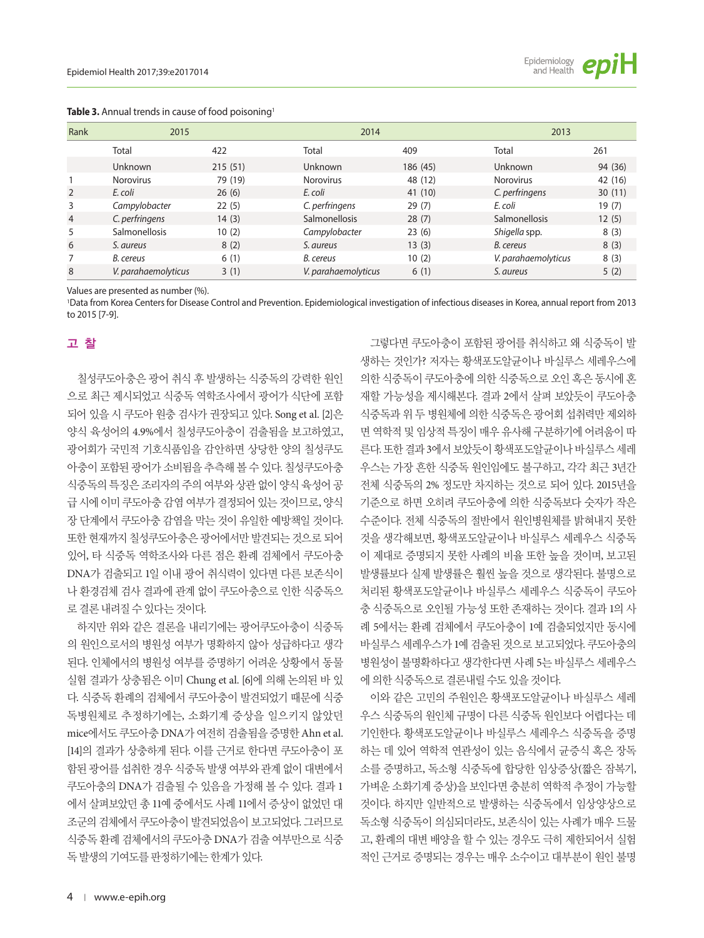

| Rank           | 2015                |         | 2014                 |          |                      |         |
|----------------|---------------------|---------|----------------------|----------|----------------------|---------|
|                | Total               | 422     | Total                | 409      | Total                | 261     |
|                | Unknown             | 215(51) | <b>Unknown</b>       | 186 (45) | <b>Unknown</b>       | 94 (36) |
|                | <b>Norovirus</b>    | 79 (19) | <b>Norovirus</b>     | 48 (12)  | <b>Norovirus</b>     | 42 (16) |
| 2              | E. coli             | 26(6)   | E. coli              | 41 (10)  | C. perfringens       | 30(11)  |
| 3              | Campylobacter       | 22(5)   | C. perfringens       | 29(7)    | E. coli              | 19(7)   |
| $\overline{4}$ | C. perfringens      | 14(3)   | <b>Salmonellosis</b> | 28(7)    | <b>Salmonellosis</b> | 12(5)   |
| 5              | Salmonellosis       | 10(2)   | Campylobacter        | 23(6)    | Shigella spp.        | 8(3)    |
| 6              | S. aureus           | 8(2)    | S. aureus            | 13(3)    | B. cereus            | 8(3)    |
|                | B. cereus           | 6(1)    | B. cereus            | 10(2)    | V. parahaemolyticus  | 8(3)    |
| 8              | V. parahaemolyticus | 3(1)    | V. parahaemolyticus  | 6(1)     | S. aureus            | 5(2)    |

**Table 3.** Annual trends in cause of food poisoning<sup>1</sup>

Values are presented as number (%).

1Data from Korea Centers for Disease Control and Prevention. Epidemiological investigation of infectious diseases in Korea, annual report from 2013 to 2015 [7-9].

#### 고 찰

칠성쿠도아충은 광어 취식 후 발생하는 식중독의 강력한 원인 으로 최근 제시되었고 식중독 역학조사에서 광어가 식단에 포함 되어 있을 시 쿠도아 원충 검사가 권장되고 있다. Song et al. [2]은 양식 육성어의 4.9%에서 칠성쿠도아충이 검출됨을 보고하였고, 광어회가 국민적 기호식품임을 감안하면 상당한 양의 칠성쿠도 아충이 포함된 광어가 소비됨을 추측해 볼 수 있다. 칠성쿠도아충 식중독의 특징은 조리자의 주의 여부와 상관 없이 양식 육성어 공 급 시에 이미 쿠도아충 감염 여부가 결정되어 있는 것이므로, 양식 장 단계에서 쿠도아충 감염을 막는 것이 유일한 예방책일 것이다. 또한 현재까지 칠성쿠도아충은 광어에서만 발견되는 것으로 되어 있어, 타 식중독 역학조사와 다른 점은 환례 검체에서 쿠도아충 DNA가 검출되고 1일 이내 광어 취식력이 있다면 다른 보존식이 나 환경검체 검사 결과에 관계 없이 쿠도아충으로 인한 식중독으 로결론내려질수있다는것이다.

하지만 위와 같은 결론을 내리기에는 광어쿠도아충이 식중독 의 원인으로서의 병원성 여부가 명확하지 않아 성급하다고 생각 된다. 인체에서의 병원성 여부를 증명하기 어려운 상황에서 동물 실험 결과가 상충됨은 이미 Chung et al. [6]에 의해 논의된 바 있 다. 식중독 환례의 검체에서 쿠도아충이 발견되었기 때문에 식중 독병원체로 추정하기에는, 소화기계 증상을 일으키지 않았던 mice에서도 쿠도아충 DNA가 여전히 검출됨을 증명한 Ahn et al. [14]의 결과가 상충하게 된다. 이를 근거로 한다면 쿠도아충이 포 함된 광어를 섭취한 경우 식중독 발생 여부와 관계 없이 대변에서 쿠도아충의 DNA가 검출될 수 있음을 가정해 볼 수 있다. 결과 1 에서 살펴보았던 총 11예 중에서도 사례 11에서 증상이 없었던 대 조군의 검체에서 쿠도아충이 발견되었음이 보고되었다. 그러므로 식중독 환례 검체에서의 쿠도아충 DNA가 검출 여부만으로 식중 독발생의기여도를판정하기에는한계가있다.

그렇다면 쿠도아충이 포함된 광어를 취식하고 왜 식중독이 발 생하는 것인가? 저자는 황색포도알균이나 바실루스 세레우스에 의한 식중독이 쿠도아충에 의한 식중독으로 오인 혹은 동시에 혼 재할 가능성을 제시해본다. 결과 2에서 살펴 보았듯이 쿠도아충 식중독과 위 두 병원체에 의한 식중독은 광어회 섭취력만 제외하 면 역학적 및 임상적 특징이 매우 유사해 구분하기에 어려움이 따 른다. 또한 결과 3에서 보았듯이 황색포도알규이나 바실루스 세레 우스는 가장 흔한 식중독 원인임에도 불구하고, 각각 최근 3년간 전체 식중독의 2% 정도만 차지하는 것으로 되어 있다. 2015년을 기준으로 하면 오히려 쿠도아충에 의한 식중독보다 숫자가 작은 수준이다. 전체 식중독의 절반에서 원인병원체를 밝혀내지 못한 것을 생각해보면, 황색포도알균이나 바실루스 세레우스 식중독 이 제대로 증명되지 못한 사례의 비율 또한 높을 것이며, 보고된 발생률보다 실제 발생률은 훨씬 높을 것으로 생각된다. 불명으로 처리된 황색포도알균이나 바실루스 세레우스 식중독이 쿠도아 충 식중독으로 오인될 가능성 또한 존재하는 것이다. 결과 1의 사 례 5에서는 환례 검체에서 쿠도아충이 1예 검출되었지만 동시에 바실루스 세레우스가 1예 검출된 것으로 보고되었다. 쿠도아충의 병원성이 불명확하다고 생각한다면 사례 5는 바실루스 세레우스 에의한식중독으로결론내릴수도있을것이다.

이와 같은 고민의 주원인은 황색포도알균이나 바실루스 세레 우스 식중독의 원인체 규명이 다른 식중독 원인보다 어렵다는 데 기인한다. 황색포도알균이나 바실루스 세레우스 식중독을 증명 하는 데 있어 역학적 연관성이 있는 음식에서 균증식 혹은 장독 소를 증명하고, 독소형 식중독에 합당한 임상증상(짧은 잠복기, 가벼운 소화기계 증상)을 보인다면 충분히 역학적 추정이 가능할 것이다. 하지만 일반적으로 발생하는 식중독에서 임상양상으로 독소형 식중독이 의심되더라도, 보존식이 있는 사례가 매우 드물 고, 환례의 대변 배양을 할 수 있는 경우도 극히 제한되어서 실험 적인 근거로 증명되는 경우는 매우 소수이고 대부분이 원인 불명